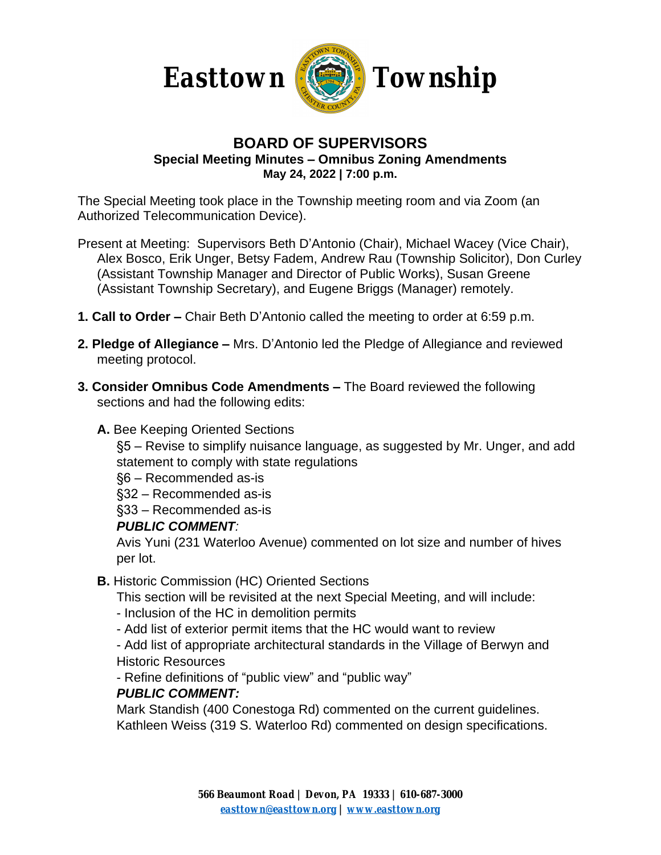



### **BOARD OF SUPERVISORS Special Meeting Minutes – Omnibus Zoning Amendments May 24, 2022 | 7:00 p.m.**

The Special Meeting took place in the Township meeting room and via Zoom (an Authorized Telecommunication Device).

- Present at Meeting: Supervisors Beth D'Antonio (Chair), Michael Wacey (Vice Chair), Alex Bosco, Erik Unger, Betsy Fadem, Andrew Rau (Township Solicitor), Don Curley (Assistant Township Manager and Director of Public Works), Susan Greene (Assistant Township Secretary), and Eugene Briggs (Manager) remotely.
- **1. Call to Order –** Chair Beth D'Antonio called the meeting to order at 6:59 p.m.
- **2. Pledge of Allegiance –** Mrs. D'Antonio led the Pledge of Allegiance and reviewed meeting protocol.
- **3. Consider Omnibus Code Amendments –** The Board reviewed the following sections and had the following edits:

### **A.** Bee Keeping Oriented Sections

§5 – Revise to simplify nuisance language, as suggested by Mr. Unger, and add statement to comply with state regulations

§6 – Recommended as-is

§32 – Recommended as-is

§33 – Recommended as-is

#### *PUBLIC COMMENT:*

Avis Yuni (231 Waterloo Avenue) commented on lot size and number of hives per lot.

# **B.** Historic Commission (HC) Oriented Sections

This section will be revisited at the next Special Meeting, and will include:

- Inclusion of the HC in demolition permits
- Add list of exterior permit items that the HC would want to review

- Add list of appropriate architectural standards in the Village of Berwyn and Historic Resources

- Refine definitions of "public view" and "public way"

# *PUBLIC COMMENT:*

Mark Standish (400 Conestoga Rd) commented on the current guidelines. Kathleen Weiss (319 S. Waterloo Rd) commented on design specifications.